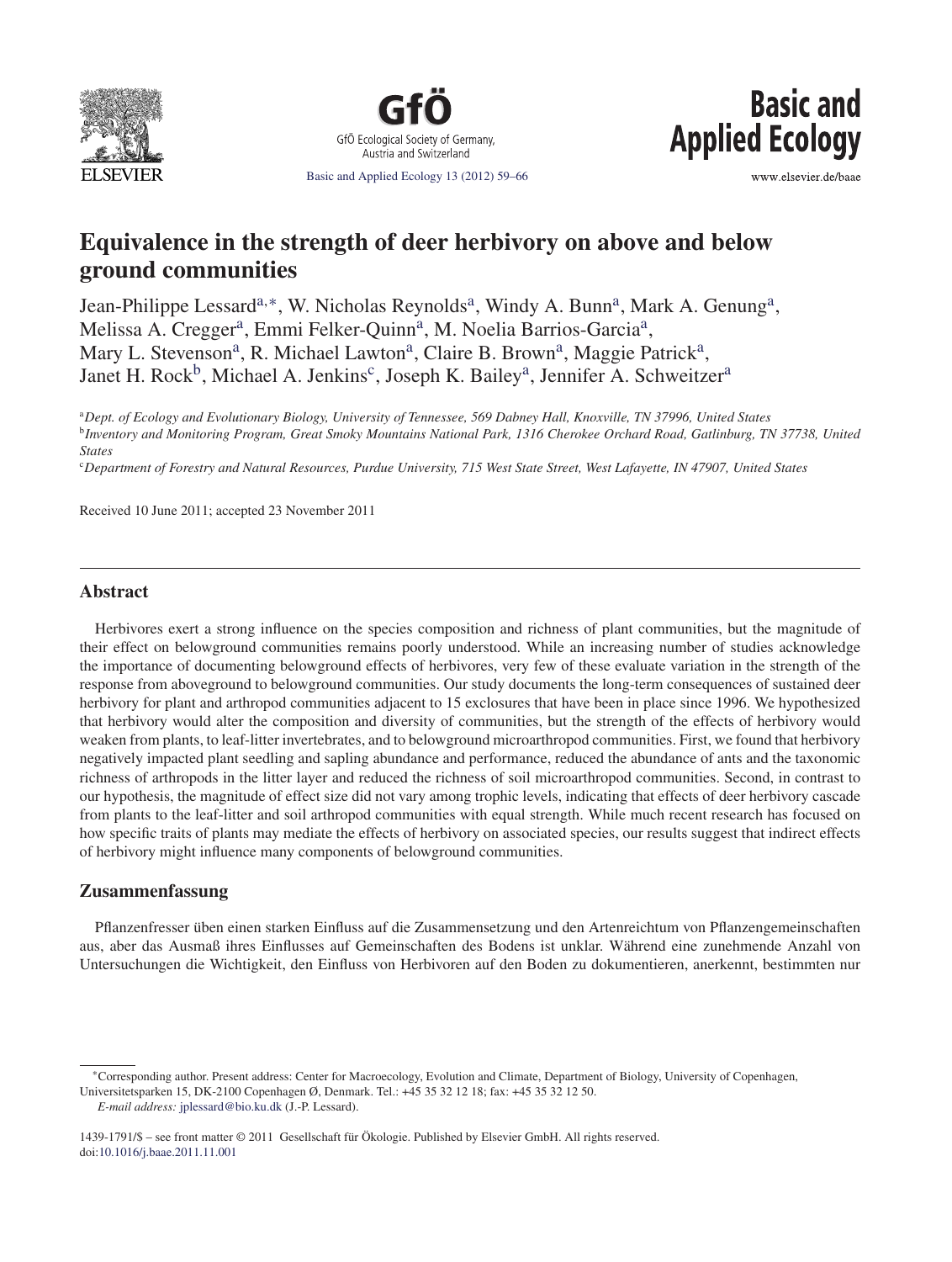





www.elsevier.de/baae

# **Equivalence in the strength of deer herbivory on above and below ground communities**

Jean-Philippe Lessard<sup>a,∗</sup>, W. Nicholas Reynolds<sup>a</sup>, Windy A. Bunn<sup>a</sup>, Mark A. Genung<sup>a</sup>, Melissa A. Cregger<sup>a</sup>, Emmi Felker-Quinn<sup>a</sup>, M. Noelia Barrios-Garcia<sup>a</sup>, Mary L. Stevenson<sup>a</sup>, R. Michael Lawton<sup>a</sup>, Claire B. Brown<sup>a</sup>, Maggie Patrick<sup>a</sup>, Janet H. Rock<sup>b</sup>, Michael A. Jenkins<sup>c</sup>, Joseph K. Bailey<sup>a</sup>, Jennifer A. Schweitzer<sup>a</sup>

<sup>a</sup>*Dept. of Ecology and Evolutionary Biology, University of Tennessee, 569 Dabney Hall, Knoxville, TN 37996, United States* <sup>b</sup>*Inventory and Monitoring Program, Great Smoky Mountains National Park, 1316 Cherokee Orchard Road, Gatlinburg, TN 37738, United States*

c *Department of Forestry and Natural Resources, Purdue University, 715 West State Street, West Lafayette, IN 47907, United States*

Received 10 June 2011; accepted 23 November 2011

## **Abstract**

Herbivores exert a strong influence on the species composition and richness of plant communities, but the magnitude of their effect on belowground communities remains poorly understood. While an increasing number of studies acknowledge the importance of documenting belowground effects of herbivores, very few of these evaluate variation in the strength of the response from aboveground to belowground communities. Our study documents the long-term consequences of sustained deer herbivory for plant and arthropod communities adjacent to 15 exclosures that have been in place since 1996. We hypothesized that herbivory would alter the composition and diversity of communities, but the strength of the effects of herbivory would weaken from plants, to leaf-litter invertebrates, and to belowground microarthropod communities. First, we found that herbivory negatively impacted plant seedling and sapling abundance and performance, reduced the abundance of ants and the taxonomic richness of arthropods in the litter layer and reduced the richness of soil microarthropod communities. Second, in contrast to our hypothesis, the magnitude of effect size did not vary among trophic levels, indicating that effects of deer herbivory cascade from plants to the leaf-litter and soil arthropod communities with equal strength. While much recent research has focused on how specific traits of plants may mediate the effects of herbivory on associated species, our results suggest that indirect effects of herbivory might influence many components of belowground communities.

# **Zusammenfassung**

Pflanzenfresser üben einen starken Einfluss auf die Zusammensetzung und den Artenreichtum von Pflanzengemeinschaften aus, aber das Ausmaß ihres Einflusses auf Gemeinschaften des Bodens ist unklar. Während eine zunehmende Anzahl von Untersuchungen die Wichtigkeit, den Einfluss von Herbivoren auf den Boden zu dokumentieren, anerkennt, bestimmten nur

<sup>∗</sup>Corresponding author. Present address: Center for Macroecology, Evolution and Climate, Department of Biology, University of Copenhagen,

Universitetsparken 15, DK-2100 Copenhagen Ø, Denmark. Tel.: +45 35 32 12 18; fax: +45 35 32 12 50.

*E-mail address:* [jplessard@bio.ku.dk](mailto:jplessard@bio.ku.dk) (J.-P. Lessard).

<sup>1439-1791/\$ –</sup> see front matter © 2011 Gesellschaft für Ökologie. Published by Elsevier GmbH. All rights reserved. doi[:10.1016/j.baae.2011.11.001](dx.doi.org/10.1016/j.baae.2011.11.001)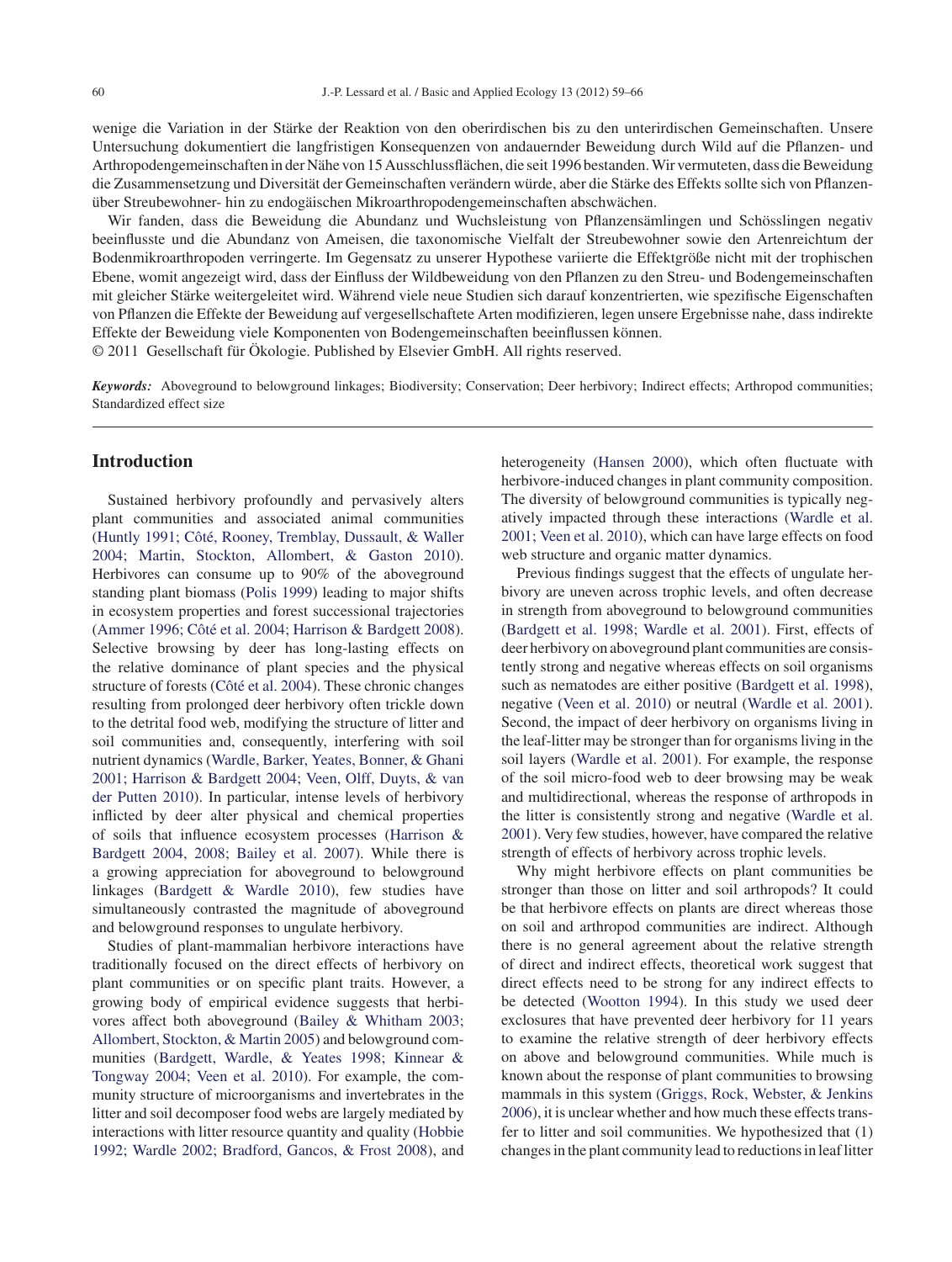wenige die Variation in der Stärke der Reaktion von den oberirdischen bis zu den unterirdischen Gemeinschaften. Unsere Untersuchung dokumentiert die langfristigen Konsequenzen von andauernder Beweidung durch Wild auf die Pflanzen- und Arthropodengemeinschaften in der Nähe von 15 Ausschlussflächen, die seit 1996 bestanden. Wir vermuteten, dass die Beweidung die Zusammensetzung und Diversität der Gemeinschaften verändern würde, aber die Stärke des Effekts sollte sich von Pflanzenüber Streubewohner- hin zu endogäischen Mikroarthropodengemeinschaften abschwächen.

Wir fanden, dass die Beweidung die Abundanz und Wuchsleistung von Pflanzensämlingen und Schösslingen negativ beeinflusste und die Abundanz von Ameisen, die taxonomische Vielfalt der Streubewohner sowie den Artenreichtum der Bodenmikroarthropoden verringerte. Im Gegensatz zu unserer Hypothese variierte die Effektgröße nicht mit der trophischen Ebene, womit angezeigt wird, dass der Einfluss der Wildbeweidung von den Pflanzen zu den Streu- und Bodengemeinschaften mit gleicher Stärke weitergeleitet wird. Während viele neue Studien sich darauf konzentrierten, wie spezifische Eigenschaften von Pflanzen die Effekte der Beweidung auf vergesellschaftete Arten modifizieren, legen unsere Ergebnisse nahe, dass indirekte Effekte der Beweidung viele Komponenten von Bodengemeinschaften beeinflussen können.

© 2011 Gesellschaft für Ökologie. Published by Elsevier GmbH. All rights reserved.

*Keywords:* Aboveground to belowground linkages; Biodiversity; Conservation; Deer herbivory; Indirect effects; Arthropod communities; Standardized effect size

## **Introduction**

Sustained herbivory profoundly and pervasively alters plant communities and associated animal communities [\(Huntly 1991; Côté, Rooney, Tremblay, Dussault, & Waller](#page-7-0) [2004; Martin, Stockton, Allombert, & Gaston 2010\).](#page-7-0) Herbivores can consume up to 90% of the aboveground standing plant biomass ([Polis 1999\)](#page-7-0) leading to major shifts in ecosystem properties and forest successional trajectories [\(Ammer 1996; Côté et al. 2004; Harrison & Bardgett 2008\).](#page-6-0) Selective browsing by deer has long-lasting effects on the relative dominance of plant species and the physical structure of forests [\(Côté et al. 2004\).](#page-6-0) These chronic changes resulting from prolonged deer herbivory often trickle down to the detrital food web, modifying the structure of litter and soil communities and, consequently, interfering with soil nutrient dynamics [\(Wardle, Barker, Yeates, Bonner, & Ghani](#page-7-0) [2001; Harrison & Bardgett 2004; Veen, Olff, Duyts, & van](#page-7-0) [der Putten 2010\).](#page-7-0) In particular, intense levels of herbivory inflicted by deer alter physical and chemical properties of soils that influence ecosystem processes [\(Harrison &](#page-7-0) [Bardgett 2004, 2008; Bailey et al. 2007\).](#page-7-0) While there is a growing appreciation for aboveground to belowground linkages ([Bardgett & Wardle 2010\),](#page-6-0) few studies have simultaneously contrasted the magnitude of aboveground and belowground responses to ungulate herbivory.

Studies of plant-mammalian herbivore interactions have traditionally focused on the direct effects of herbivory on plant communities or on specific plant traits. However, a growing body of empirical evidence suggests that herbivores affect both aboveground ([Bailey & Whitham 2003;](#page-6-0) [Allombert, Stockton, & Martin 2005\)](#page-6-0) and belowground communities ([Bardgett, Wardle, & Yeates 1998; Kinnear &](#page-6-0) [Tongway 2004; Veen et al. 2010\).](#page-6-0) For example, the community structure of microorganisms and invertebrates in the litter and soil decomposer food webs are largely mediated by interactions with litter resource quantity and quality ([Hobbie](#page-7-0) [1992; Wardle 2002; Bradford, Gancos, & Frost 2008\),](#page-7-0) and heterogeneity [\(Hansen 2000\),](#page-6-0) which often fluctuate with herbivore-induced changes in plant community composition. The diversity of belowground communities is typically negatively impacted through these interactions [\(Wardle et al.](#page-7-0) [2001; Veen et al. 2010\),](#page-7-0) which can have large effects on food web structure and organic matter dynamics.

Previous findings suggest that the effects of ungulate herbivory are uneven across trophic levels, and often decrease in strength from aboveground to belowground communities [\(Bardgett et al. 1998; Wardle et al. 2001\).](#page-6-0) First, effects of deer herbivory on aboveground plant communities are consistently strong and negative whereas effects on soil organisms such as nematodes are either positive [\(Bardgett et al. 1998\),](#page-6-0) negative [\(Veen et al. 2010\)](#page-7-0) or neutral [\(Wardle et al. 2001\).](#page-7-0) Second, the impact of deer herbivory on organisms living in the leaf-litter may be stronger than for organisms living in the soil layers ([Wardle et al. 2001\).](#page-7-0) For example, the response of the soil micro-food web to deer browsing may be weak and multidirectional, whereas the response of arthropods in the litter is consistently strong and negative [\(Wardle et al.](#page-7-0) [2001\).](#page-7-0) Very few studies, however, have compared the relative strength of effects of herbivory across trophic levels.

Why might herbivore effects on plant communities be stronger than those on litter and soil arthropods? It could be that herbivore effects on plants are direct whereas those on soil and arthropod communities are indirect. Although there is no general agreement about the relative strength of direct and indirect effects, theoretical work suggest that direct effects need to be strong for any indirect effects to be detected [\(Wootton 1994\).](#page-7-0) In this study we used deer exclosures that have prevented deer herbivory for 11 years to examine the relative strength of deer herbivory effects on above and belowground communities. While much is known about the response of plant communities to browsing mammals in this system ([Griggs, Rock, Webster, & Jenkins](#page-6-0) [2006\),](#page-6-0) it is unclear whether and how much these effects transfer to litter and soil communities. We hypothesized that (1) changes in the plant community lead to reductions in leaf litter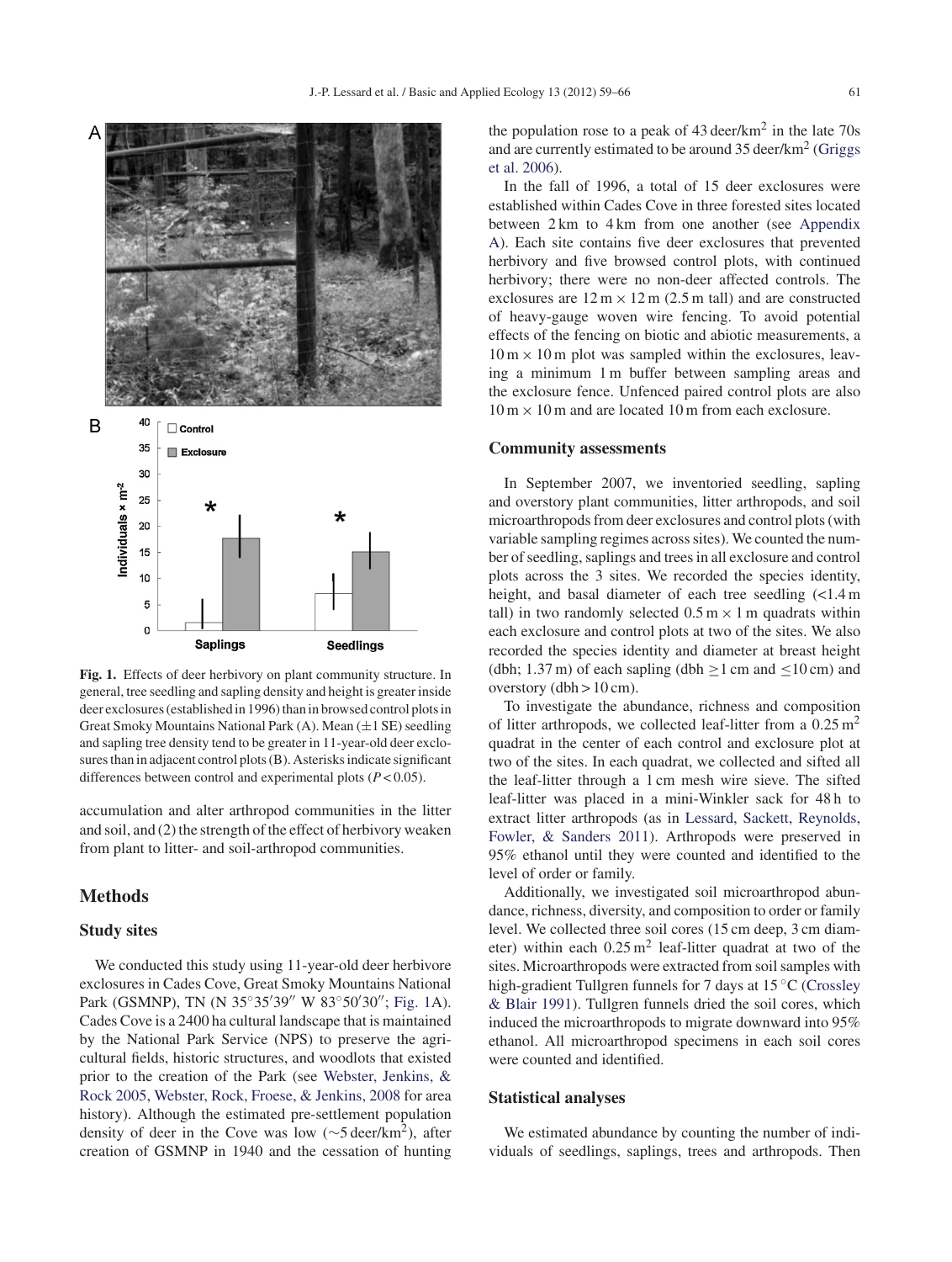<span id="page-2-0"></span>

**Fig. 1.** Effects of deer herbivory on plant community structure. In general, tree seedling and sapling density and height is greater inside deer exclosures (established in 1996) than in browsed control plots in Great Smoky Mountains National Park  $(A)$ . Mean  $(\pm 1$  SE) seedling and sapling tree density tend to be greater in 11-year-old deer exclosures than in adjacent control plots (B). Asterisks indicate significant differences between control and experimental plots (*P* < 0.05).

accumulation and alter arthropod communities in the litter and soil, and (2) the strength of the effect of herbivory weaken from plant to litter- and soil-arthropod communities.

## **Methods**

#### **Study sites**

We conducted this study using 11-year-old deer herbivore exclosures in Cades Cove, Great Smoky Mountains National Park (GSMNP), TN (N 35°35′39″ W 83°50′30″; Fig. 1A). Cades Cove is a 2400 ha cultural landscape that is maintained by the National Park Service (NPS) to preserve the agricultural fields, historic structures, and woodlots that existed prior to the creation of the Park (see [Webster, Jenkins, &](#page-7-0) [Rock 2005,](#page-7-0) [Webster, Rock, Froese, & Jenkins, 2008](#page-7-0) for area history). Although the estimated pre-settlement population density of deer in the Cove was low ( $\sim$ 5 deer/km<sup>2</sup>), after creation of GSMNP in 1940 and the cessation of hunting

the population rose to a peak of  $43 \text{ deer/km}^2$  in the late 70s and are currently estimated to be around  $35 \text{ deer/km}^2$  ([Griggs](#page-6-0)) [et al. 2006\).](#page-6-0)

In the fall of 1996, a total of 15 deer exclosures were established within Cades Cove in three forested sites located between 2 km to 4 km from one another (see [Appendix](#page-6-0) [A\).](#page-6-0) Each site contains five deer exclosures that prevented herbivory and five browsed control plots, with continued herbivory; there were no non-deer affected controls. The exclosures are  $12 \text{ m} \times 12 \text{ m}$  (2.5 m tall) and are constructed of heavy-gauge woven wire fencing. To avoid potential effects of the fencing on biotic and abiotic measurements, a  $10 \text{ m} \times 10 \text{ m}$  plot was sampled within the exclosures, leaving a minimum 1 m buffer between sampling areas and the exclosure fence. Unfenced paired control plots are also  $10 \text{ m} \times 10 \text{ m}$  and are located 10 m from each exclosure.

#### **Community assessments**

In September 2007, we inventoried seedling, sapling and overstory plant communities, litter arthropods, and soil microarthropods from deer exclosures and control plots (with variable sampling regimes across sites). We counted the number of seedling, saplings and trees in all exclosure and control plots across the 3 sites. We recorded the species identity, height, and basal diameter of each tree seedling  $\left($ <1.4 m tall) in two randomly selected  $0.5 \text{ m} \times 1 \text{ m}$  quadrats within each exclosure and control plots at two of the sites. We also recorded the species identity and diameter at breast height (dbh; 1.37 m) of each sapling (dbh  $\geq$ 1 cm and  $\leq$ 10 cm) and overstory (dbh  $> 10$  cm).

To investigate the abundance, richness and composition of litter arthropods, we collected leaf-litter from a  $0.25 \text{ m}^2$ quadrat in the center of each control and exclosure plot at two of the sites. In each quadrat, we collected and sifted all the leaf-litter through a 1 cm mesh wire sieve. The sifted leaf-litter was placed in a mini-Winkler sack for 48 h to extract litter arthropods (as in [Lessard, Sackett, Reynolds,](#page-7-0) [Fowler, & Sanders 2011\).](#page-7-0) Arthropods were preserved in 95% ethanol until they were counted and identified to the level of order or family.

Additionally, we investigated soil microarthropod abundance, richness, diversity, and composition to order or family level. We collected three soil cores (15 cm deep, 3 cm diameter) within each  $0.25 \text{ m}^2$  leaf-litter quadrat at two of the sites. Microarthropods were extracted from soil samples with high-gradient Tullgren funnels for 7 days at 15 ◦C [\(Crossley](#page-6-0) [& Blair 1991\).](#page-6-0) Tullgren funnels dried the soil cores, which induced the microarthropods to migrate downward into 95% ethanol. All microarthropod specimens in each soil cores were counted and identified.

#### **Statistical analyses**

We estimated abundance by counting the number of individuals of seedlings, saplings, trees and arthropods. Then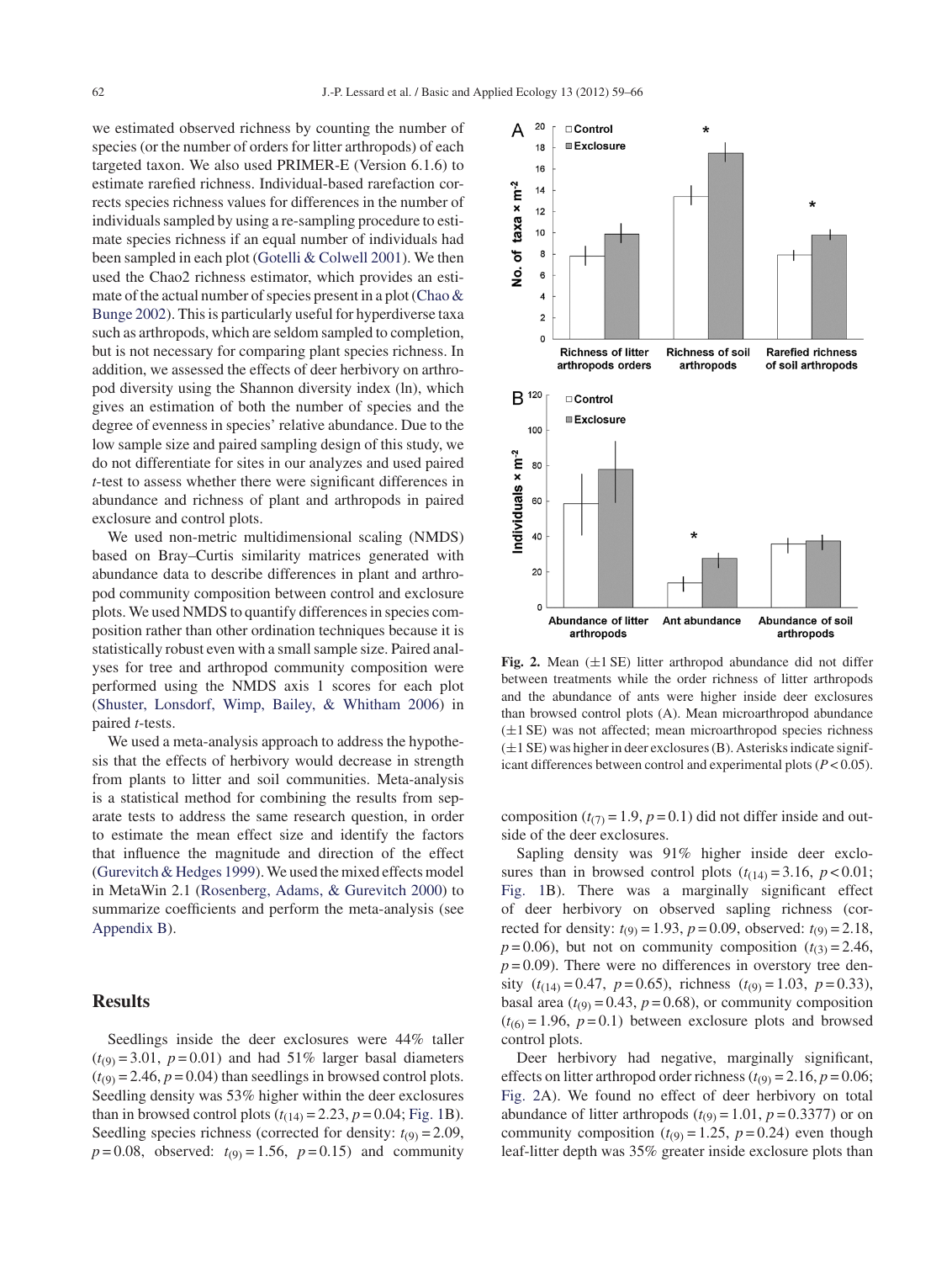<span id="page-3-0"></span>we estimated observed richness by counting the number of species (or the number of orders for litter arthropods) of each targeted taxon. We also used PRIMER-E (Version 6.1.6) to estimate rarefied richness. Individual-based rarefaction corrects species richness values for differences in the number of individuals sampled by using a re-sampling procedure to estimate species richness if an equal number of individuals had been sampled in each plot [\(Gotelli & Colwell 2001\).](#page-6-0) We then used the Chao2 richness estimator, which provides an estimate of the actual number of species present in a plot [\(Chao &](#page-6-0) [Bunge 2002\).](#page-6-0) This is particularly useful for hyperdiverse taxa such as arthropods, which are seldom sampled to completion, but is not necessary for comparing plant species richness. In addition, we assessed the effects of deer herbivory on arthropod diversity using the Shannon diversity index (ln), which gives an estimation of both the number of species and the degree of evenness in species' relative abundance. Due to the low sample size and paired sampling design of this study, we do not differentiate for sites in our analyzes and used paired *t*-test to assess whether there were significant differences in abundance and richness of plant and arthropods in paired exclosure and control plots.

We used non-metric multidimensional scaling (NMDS) based on Bray–Curtis similarity matrices generated with abundance data to describe differences in plant and arthropod community composition between control and exclosure plots. We used NMDS to quantify differences in species composition rather than other ordination techniques because it is statistically robust even with a small sample size. Paired analyses for tree and arthropod community composition were performed using the NMDS axis 1 scores for each plot [\(Shuster, Lonsdorf, Wimp, Bailey, & Whitham 2006\)](#page-7-0) in paired *t*-tests.

We used a meta-analysis approach to address the hypothesis that the effects of herbivory would decrease in strength from plants to litter and soil communities. Meta-analysis is a statistical method for combining the results from separate tests to address the same research question, in order to estimate the mean effect size and identify the factors that influence the magnitude and direction of the effect [\(Gurevitch & Hedges 1999\).](#page-6-0) We used the mixed effects model in MetaWin 2.1 ([Rosenberg, Adams, & Gurevitch 2000\)](#page-7-0) to summarize coefficients and perform the meta-analysis (see [Appendix B\).](#page-6-0)

#### **Results**

Seedlings inside the deer exclosures were 44% taller  $(t_{(9)} = 3.01, p = 0.01)$  and had 51% larger basal diameters  $(t_{(9)} = 2.46, p = 0.04)$  than seedlings in browsed control plots. Seedling density was 53% higher within the deer exclosures than in browsed control plots  $(t_{(14)} = 2.23, p = 0.04;$  [Fig. 1B](#page-2-0)). Seedling species richness (corrected for density:  $t_{(9)} = 2.09$ ,  $p = 0.08$ , observed:  $t_{(9)} = 1.56$ ,  $p = 0.15$ ) and community



**Fig. 2.** Mean (±1 SE) litter arthropod abundance did not differ between treatments while the order richness of litter arthropods and the abundance of ants were higher inside deer exclosures than browsed control plots (A). Mean microarthropod abundance (±1 SE) was not affected; mean microarthropod species richness  $(\pm 1 \text{ SE})$  was higher in deer exclosures (B). Asterisks indicate significant differences between control and experimental plots (*P* < 0.05).

composition  $(t_{(7)} = 1.9, p = 0.1)$  did not differ inside and outside of the deer exclosures.

Sapling density was 91% higher inside deer exclosures than in browsed control plots  $(t_{(14)} = 3.16, p < 0.01;$ [Fig. 1](#page-2-0)B). There was a marginally significant effect of deer herbivory on observed sapling richness (corrected for density:  $t_{(9)} = 1.93$ ,  $p = 0.09$ , observed:  $t_{(9)} = 2.18$ ,  $p = 0.06$ ), but not on community composition  $(t_{(3)} = 2.46$ ,  $p = 0.09$ ). There were no differences in overstory tree density  $(t_{(14)} = 0.47, p = 0.65)$ , richness  $(t_{(9)} = 1.03, p = 0.33)$ , basal area  $(t_{(9)} = 0.43, p = 0.68)$ , or community composition  $(t_{(6)} = 1.96, p = 0.1)$  between exclosure plots and browsed control plots.

Deer herbivory had negative, marginally significant, effects on litter arthropod order richness  $(t_{(9)} = 2.16, p = 0.06;$ Fig. 2A). We found no effect of deer herbivory on total abundance of litter arthropods  $(t_{(9)} = 1.01, p = 0.3377)$  or on community composition  $(t_{(9)} = 1.25, p = 0.24)$  even though leaf-litter depth was 35% greater inside exclosure plots than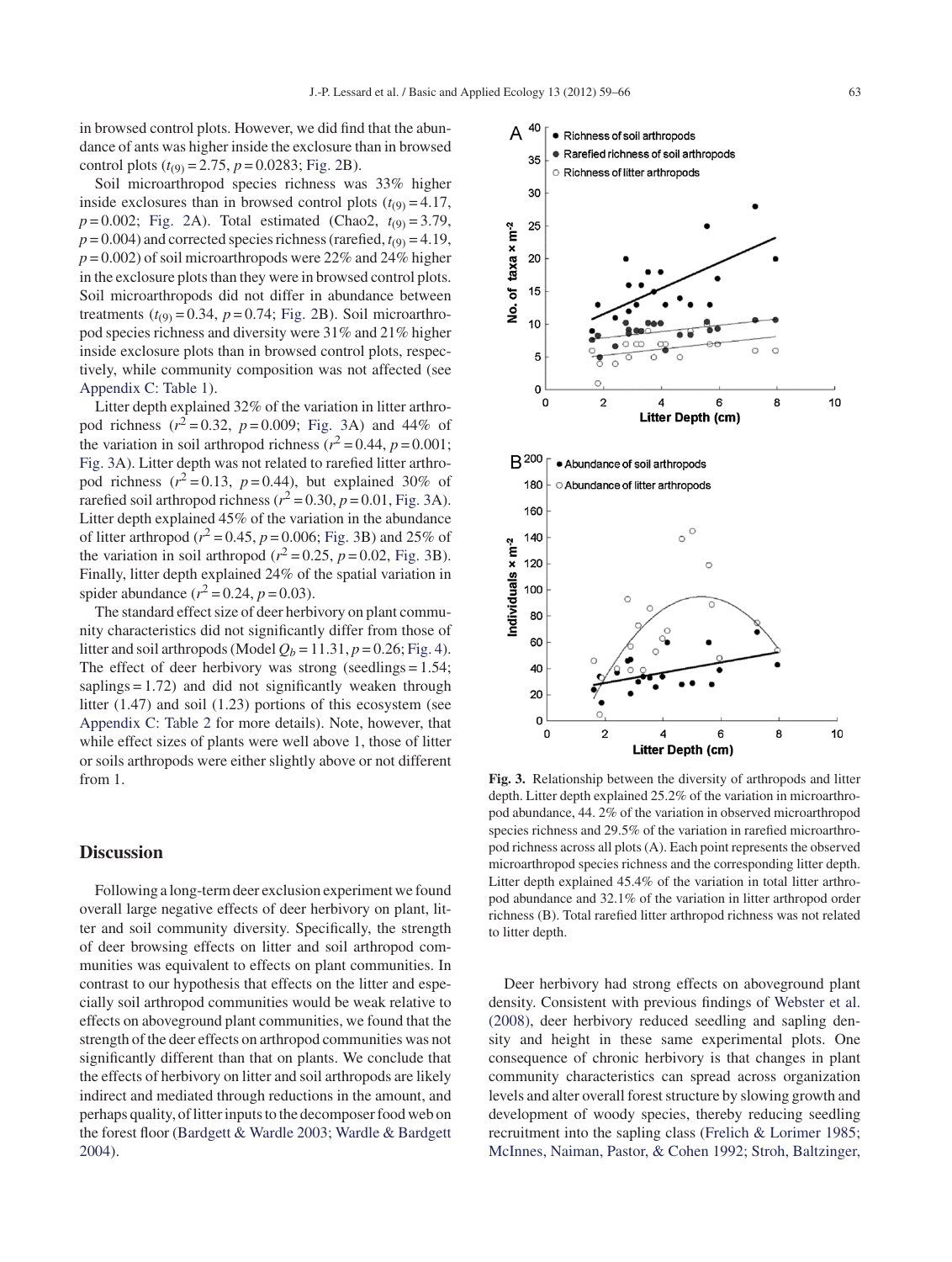in browsed control plots. However, we did find that the abundance of ants was higher inside the exclosure than in browsed control plots  $(t_{(9)} = 2.75, p = 0.0283;$  [Fig. 2B](#page-3-0)).

Soil microarthropod species richness was 33% higher inside exclosures than in browsed control plots  $(t_{(9)} = 4.17)$ ,  $p = 0.002$ ; [Fig. 2A](#page-3-0)). Total estimated (Chao2,  $t_{(9)} = 3.79$ ,  $p = 0.004$ ) and corrected species richness (rarefied,  $t_{(9)} = 4.19$ ,  $p = 0.002$ ) of soil microarthropods were 22% and 24% higher in the exclosure plots than they were in browsed control plots. Soil microarthropods did not differ in abundance between treatments  $(t_{(9)} = 0.34, p = 0.74$ ; [Fig. 2B](#page-3-0)). Soil microarthropod species richness and diversity were 31% and 21% higher inside exclosure plots than in browsed control plots, respectively, while community composition was not affected (see [Appendix C: Table 1\).](#page-6-0)

Litter depth explained 32% of the variation in litter arthropod richness  $(r^2 = 0.32, p = 0.009;$  Fig. 3A) and 44% of the variation in soil arthropod richness ( $r^2 = 0.44$ ,  $p = 0.001$ ; Fig. 3A). Litter depth was not related to rarefied litter arthropod richness  $(r^2 = 0.13, p = 0.44)$ , but explained 30% of rarefied soil arthropod richness ( $r^2$  = 0.30,  $p$  = 0.01, Fig. 3A). Litter depth explained 45% of the variation in the abundance of litter arthropod ( $r^2 = 0.45$ ,  $p = 0.006$ ; Fig. 3B) and 25% of the variation in soil arthropod ( $r^2 = 0.25$ ,  $p = 0.02$ , Fig. 3B). Finally, litter depth explained 24% of the spatial variation in spider abundance  $(r^2 = 0.24, p = 0.03)$ .

The standard effect size of deer herbivory on plant community characteristics did not significantly differ from those of litter and soil arthropods (Model  $Q_b = 11.31$ ,  $p = 0.26$ ; [Fig. 4\).](#page-5-0) The effect of deer herbivory was strong (seedlings  $= 1.54$ ; saplings  $= 1.72$ ) and did not significantly weaken through litter (1.47) and soil (1.23) portions of this ecosystem (see [Appendix C: Table 2](#page-6-0) for more details). Note, however, that while effect sizes of plants were well above 1, those of litter or soils arthropods were either slightly above or not different from 1.

## **Discussion**

Following a long-term deer exclusion experiment we found overall large negative effects of deer herbivory on plant, litter and soil community diversity. Specifically, the strength of deer browsing effects on litter and soil arthropod communities was equivalent to effects on plant communities. In contrast to our hypothesis that effects on the litter and especially soil arthropod communities would be weak relative to effects on aboveground plant communities, we found that the strength of the deer effects on arthropod communities was not significantly different than that on plants. We conclude that the effects of herbivory on litter and soil arthropods are likely indirect and mediated through reductions in the amount, and perhaps quality, of litter inputs to the decomposer food web on the forest floor ([Bardgett & Wardle 2003; Wardle & Bardgett](#page-6-0) [2004\).](#page-6-0)



**Fig. 3.** Relationship between the diversity of arthropods and litter depth. Litter depth explained 25.2% of the variation in microarthropod abundance, 44. 2% of the variation in observed microarthropod species richness and 29.5% of the variation in rarefied microarthropod richness across all plots (A). Each point represents the observed microarthropod species richness and the corresponding litter depth. Litter depth explained 45.4% of the variation in total litter arthropod abundance and 32.1% of the variation in litter arthropod order richness (B). Total rarefied litter arthropod richness was not related to litter depth.

Deer herbivory had strong effects on aboveground plant density. Consistent with previous findings of [Webster et al.](#page-7-0) [\(2008\),](#page-7-0) deer herbivory reduced seedling and sapling density and height in these same experimental plots. One consequence of chronic herbivory is that changes in plant community characteristics can spread across organization levels and alter overall forest structure by slowing growth and development of woody species, thereby reducing seedling recruitment into the sapling class ([Frelich & Lorimer 1985;](#page-6-0) [McInnes, Naiman, Pastor, & Cohen 1992; Stroh, Baltzinger,](#page-6-0)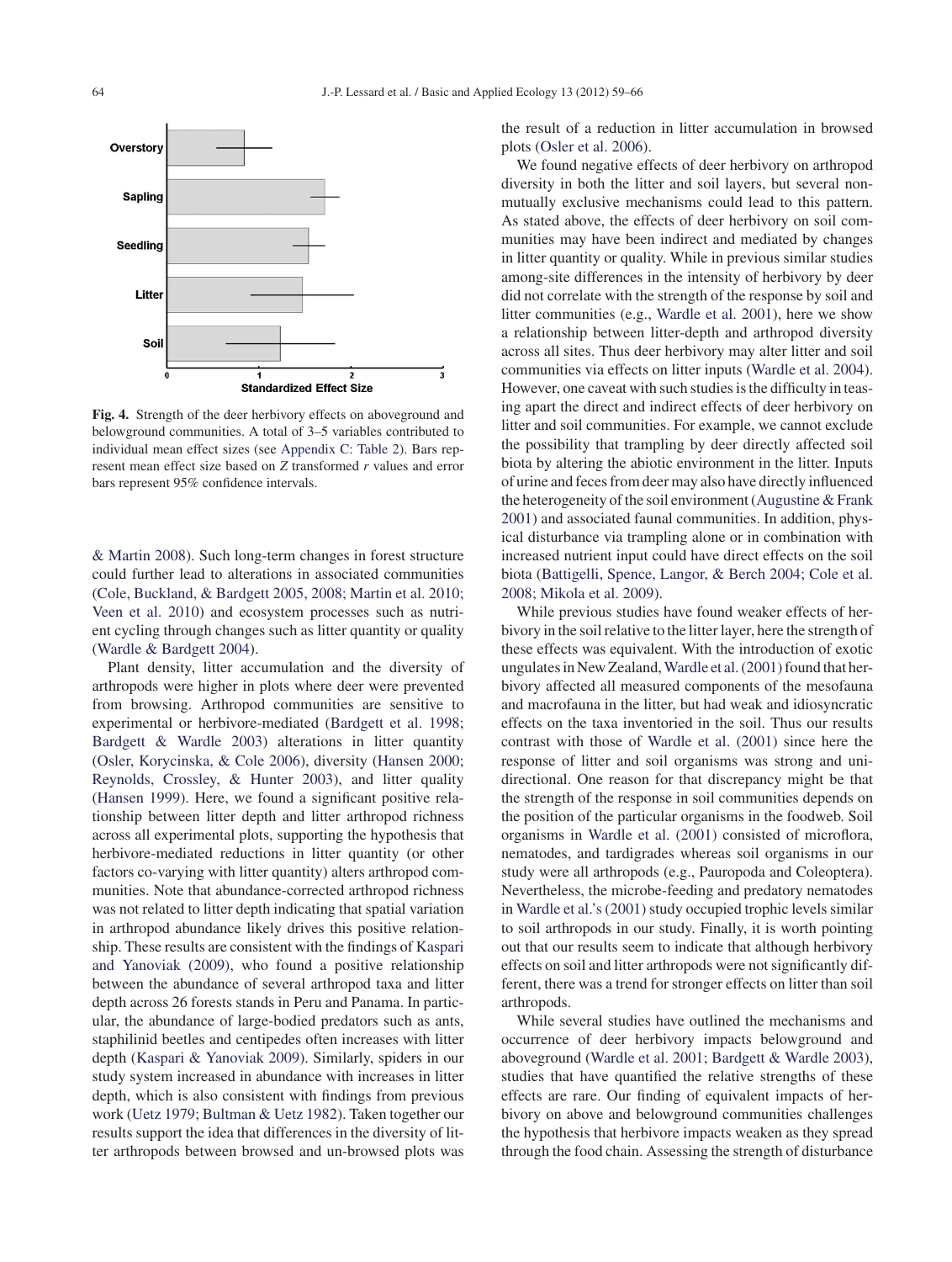<span id="page-5-0"></span>

**Fig. 4.** Strength of the deer herbivory effects on aboveground and belowground communities. A total of 3–5 variables contributed to individual mean effect sizes (see [Appendix C: Table 2\).](#page-6-0) Bars represent mean effect size based on *Z* transformed *r* values and error bars represent 95% confidence intervals.

[& Martin 2008\).](#page-6-0) Such long-term changes in forest structure could further lead to alterations in associated communities [\(Cole, Buckland, & Bardgett 2005, 2008; Martin et al. 2010;](#page-6-0) [Veen et al. 2010\)](#page-6-0) and ecosystem processes such as nutrient cycling through changes such as litter quantity or quality [\(Wardle & Bardgett 2004\).](#page-7-0)

Plant density, litter accumulation and the diversity of arthropods were higher in plots where deer were prevented from browsing. Arthropod communities are sensitive to experimental or herbivore-mediated ([Bardgett et al. 1998;](#page-6-0) [Bardgett & Wardle 2003\)](#page-6-0) alterations in litter quantity [\(Osler, Korycinska, & Cole 2006\),](#page-7-0) diversity [\(Hansen 2000;](#page-6-0) [Reynolds, Crossley, & Hunter 2003\),](#page-6-0) and litter quality [\(Hansen 1999\).](#page-6-0) Here, we found a significant positive relationship between litter depth and litter arthropod richness across all experimental plots, supporting the hypothesis that herbivore-mediated reductions in litter quantity (or other factors co-varying with litter quantity) alters arthropod communities. Note that abundance-corrected arthropod richness was not related to litter depth indicating that spatial variation in arthropod abundance likely drives this positive relationship. These results are consistent with the findings of [Kaspari](#page-7-0) [and Yanoviak \(2009\),](#page-7-0) who found a positive relationship between the abundance of several arthropod taxa and litter depth across 26 forests stands in Peru and Panama. In particular, the abundance of large-bodied predators such as ants, staphilinid beetles and centipedes often increases with litter depth [\(Kaspari & Yanoviak 2009\).](#page-7-0) Similarly, spiders in our study system increased in abundance with increases in litter depth, which is also consistent with findings from previous work [\(Uetz 1979; Bultman & Uetz 1982\).](#page-7-0) Taken together our results support the idea that differences in the diversity of litter arthropods between browsed and un-browsed plots was the result of a reduction in litter accumulation in browsed plots ([Osler et al. 2006\).](#page-7-0)

We found negative effects of deer herbivory on arthropod diversity in both the litter and soil layers, but several nonmutually exclusive mechanisms could lead to this pattern. As stated above, the effects of deer herbivory on soil communities may have been indirect and mediated by changes in litter quantity or quality. While in previous similar studies among-site differences in the intensity of herbivory by deer did not correlate with the strength of the response by soil and litter communities (e.g., [Wardle et al. 2001\),](#page-7-0) here we show a relationship between litter-depth and arthropod diversity across all sites. Thus deer herbivory may alter litter and soil communities via effects on litter inputs ([Wardle et al. 2004\).](#page-7-0) However, one caveat with such studies is the difficulty in teasing apart the direct and indirect effects of deer herbivory on litter and soil communities. For example, we cannot exclude the possibility that trampling by deer directly affected soil biota by altering the abiotic environment in the litter. Inputs of urine and feces from deer may also have directly influenced the heterogeneity of the soil environment ([Augustine & Frank](#page-6-0) [2001\)](#page-6-0) and associated faunal communities. In addition, physical disturbance via trampling alone or in combination with increased nutrient input could have direct effects on the soil biota ([Battigelli, Spence, Langor, & Berch 2004; Cole et al.](#page-6-0) [2008; Mikola et al. 2009\).](#page-6-0)

While previous studies have found weaker effects of herbivory in the soil relative to the litter layer, here the strength of these effects was equivalent. With the introduction of exotic ungulates in New Zealand, Wardle et al. (2001) found that herbivory affected all measured components of the mesofauna and macrofauna in the litter, but had weak and idiosyncratic effects on the taxa inventoried in the soil. Thus our results contrast with those of [Wardle et al. \(2001\)](#page-7-0) since here the response of litter and soil organisms was strong and unidirectional. One reason for that discrepancy might be that the strength of the response in soil communities depends on the position of the particular organisms in the foodweb. Soil organisms in [Wardle et al. \(2001\)](#page-7-0) consisted of microflora, nematodes, and tardigrades whereas soil organisms in our study were all arthropods (e.g., Pauropoda and Coleoptera). Nevertheless, the microbe-feeding and predatory nematodes in Wardle et al.'s (2001) study occupied trophic levels similar to soil arthropods in our study. Finally, it is worth pointing out that our results seem to indicate that although herbivory effects on soil and litter arthropods were not significantly different, there was a trend for stronger effects on litter than soil arthropods.

While several studies have outlined the mechanisms and occurrence of deer herbivory impacts belowground and aboveground [\(Wardle et al. 2001; Bardgett & Wardle 2003\),](#page-7-0) studies that have quantified the relative strengths of these effects are rare. Our finding of equivalent impacts of herbivory on above and belowground communities challenges the hypothesis that herbivore impacts weaken as they spread through the food chain. Assessing the strength of disturbance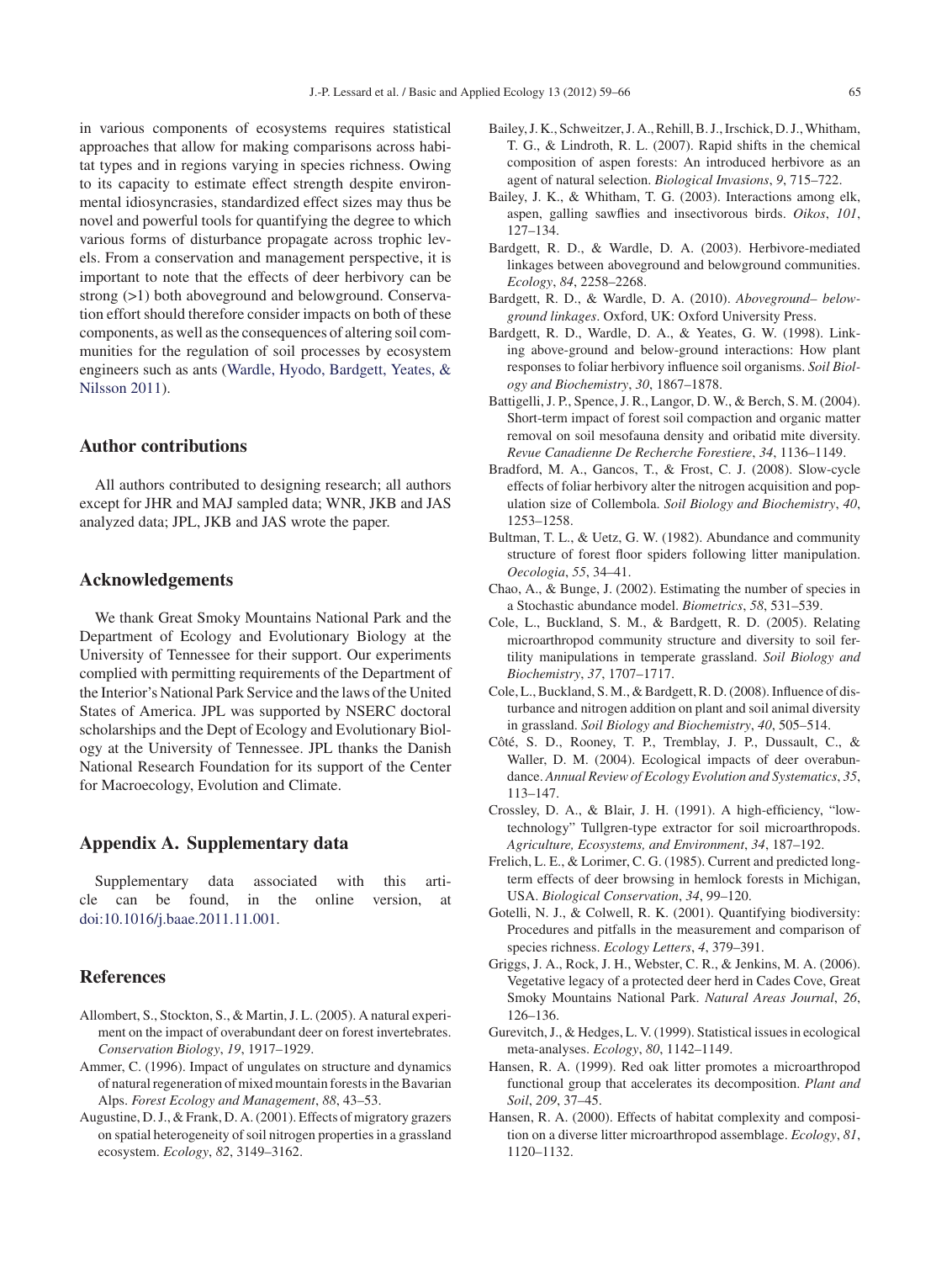<span id="page-6-0"></span>in various components of ecosystems requires statistical approaches that allow for making comparisons across habitat types and in regions varying in species richness. Owing to its capacity to estimate effect strength despite environmental idiosyncrasies, standardized effect sizes may thus be novel and powerful tools for quantifying the degree to which various forms of disturbance propagate across trophic levels. From a conservation and management perspective, it is important to note that the effects of deer herbivory can be strong (>1) both aboveground and belowground. Conservation effort should therefore consider impacts on both of these components, as well as the consequences of altering soil communities for the regulation of soil processes by ecosystem engineers such as ants [\(Wardle, Hyodo, Bardgett, Yeates, &](#page-7-0) [Nilsson 2011\).](#page-7-0)

### **Author contributions**

All authors contributed to designing research; all authors except for JHR and MAJ sampled data; WNR, JKB and JAS analyzed data; JPL, JKB and JAS wrote the paper.

## **Acknowledgements**

We thank Great Smoky Mountains National Park and the Department of Ecology and Evolutionary Biology at the University of Tennessee for their support. Our experiments complied with permitting requirements of the Department of the Interior's National Park Service and the laws of the United States of America. JPL was supported by NSERC doctoral scholarships and the Dept of Ecology and Evolutionary Biology at the University of Tennessee. JPL thanks the Danish National Research Foundation for its support of the Center for Macroecology, Evolution and Climate.

## **Appendix A. Supplementary data**

Supplementary data associated with this article can be found, in the online version, at [doi:10.1016/j.baae.2011.11.001](http://dx.doi.org/10.1016/j.baae.2011.11.001).

## **References**

- Allombert, S., Stockton, S., & Martin, J. L. (2005). A natural experiment on the impact of overabundant deer on forest invertebrates. *Conservation Biology*, *19*, 1917–1929.
- Ammer, C. (1996). Impact of ungulates on structure and dynamics of natural regeneration of mixed mountain forests in the Bavarian Alps. *Forest Ecology and Management*, *88*, 43–53.
- Augustine, D. J., & Frank, D. A. (2001). Effects of migratory grazers on spatial heterogeneity of soil nitrogen properties in a grassland ecosystem. *Ecology*, *82*, 3149–3162.
- Bailey, J. K., Schweitzer, J. A., Rehill, B. J., Irschick, D. J., Whitham, T. G., & Lindroth, R. L. (2007). Rapid shifts in the chemical composition of aspen forests: An introduced herbivore as an agent of natural selection. *Biological Invasions*, *9*, 715–722.
- Bailey, J. K., & Whitham, T. G. (2003). Interactions among elk, aspen, galling sawflies and insectivorous birds. *Oikos*, *101*, 127–134.
- Bardgett, R. D., & Wardle, D. A. (2003). Herbivore-mediated linkages between aboveground and belowground communities. *Ecology*, *84*, 2258–2268.
- Bardgett, R. D., & Wardle, D. A. (2010). *Aboveground– belowground linkages*. Oxford, UK: Oxford University Press.
- Bardgett, R. D., Wardle, D. A., & Yeates, G. W. (1998). Linking above-ground and below-ground interactions: How plant responses to foliar herbivory influence soil organisms. *Soil Biology and Biochemistry*, *30*, 1867–1878.
- Battigelli, J. P., Spence, J. R., Langor, D. W., & Berch, S. M. (2004). Short-term impact of forest soil compaction and organic matter removal on soil mesofauna density and oribatid mite diversity. *Revue Canadienne De Recherche Forestiere*, *34*, 1136–1149.
- Bradford, M. A., Gancos, T., & Frost, C. J. (2008). Slow-cycle effects of foliar herbivory alter the nitrogen acquisition and population size of Collembola. *Soil Biology and Biochemistry*, *40*, 1253–1258.
- Bultman, T. L., & Uetz, G. W. (1982). Abundance and community structure of forest floor spiders following litter manipulation. *Oecologia*, *55*, 34–41.
- Chao, A., & Bunge, J. (2002). Estimating the number of species in a Stochastic abundance model. *Biometrics*, *58*, 531–539.
- Cole, L., Buckland, S. M., & Bardgett, R. D. (2005). Relating microarthropod community structure and diversity to soil fertility manipulations in temperate grassland. *Soil Biology and Biochemistry*, *37*, 1707–1717.
- Cole, L., Buckland, S. M., & Bardgett, R. D. (2008). Influence of disturbance and nitrogen addition on plant and soil animal diversity in grassland. *Soil Biology and Biochemistry*, *40*, 505–514.
- Côté, S. D., Rooney, T. P., Tremblay, J. P., Dussault, C., & Waller, D. M. (2004). Ecological impacts of deer overabundance. *Annual Review of Ecology Evolution and Systematics*, *35*, 113–147.
- Crossley, D. A., & Blair, J. H. (1991). A high-efficiency, "lowtechnology" Tullgren-type extractor for soil microarthropods. *Agriculture, Ecosystems, and Environment*, *34*, 187–192.
- Frelich, L. E., & Lorimer, C. G. (1985). Current and predicted longterm effects of deer browsing in hemlock forests in Michigan, USA. *Biological Conservation*, *34*, 99–120.
- Gotelli, N. J., & Colwell, R. K. (2001). Quantifying biodiversity: Procedures and pitfalls in the measurement and comparison of species richness. *Ecology Letters*, *4*, 379–391.
- Griggs, J. A., Rock, J. H., Webster, C. R., & Jenkins, M. A. (2006). Vegetative legacy of a protected deer herd in Cades Cove, Great Smoky Mountains National Park. *Natural Areas Journal*, *26*, 126–136.
- Gurevitch, J., & Hedges, L. V. (1999). Statistical issues in ecological meta-analyses. *Ecology*, *80*, 1142–1149.
- Hansen, R. A. (1999). Red oak litter promotes a microarthropod functional group that accelerates its decomposition. *Plant and Soil*, *209*, 37–45.
- Hansen, R. A. (2000). Effects of habitat complexity and composition on a diverse litter microarthropod assemblage. *Ecology*, *81*, 1120–1132.